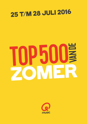## 25 T/M 28 JULI 2016

## IE P50  $\overline{\mathbf{v}}$

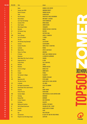| <b>POS 2016</b> | <b>POS 2015</b> | <b>Titel</b>                            | <b>Artiest</b>                                |                     |
|-----------------|-----------------|-----------------------------------------|-----------------------------------------------|---------------------|
| 1               | $\blacksquare$  | <b>Bailar</b>                           | <b>DEORRO &amp; ELVIS CRESPO</b>              |                     |
| $\overline{c}$  | $\overline{c}$  | Summer Jam 2003                         | <b>UNDERDOG PROJECT</b>                       |                     |
| 3               | ٠               | <b>Duele El Corazon</b>                 | <b>ENRIQUE IGLESIAS</b>                       |                     |
| 4               | ٠               | <b>Sofia</b>                            | <b>ALVARO SOLER</b>                           |                     |
| 5               | 5               | <b>Year Of Summer</b>                   | <b>WILDSTYLEZ &amp; NIELS GEUSEBROEK</b>      |                     |
| 6               | 3               | <b>Danza Kuduro</b>                     | <b>DON OMAR &amp; LUCENZO</b>                 |                     |
| 7               | ä,              | <b>Can't Stop The Feeling!</b>          | <b>JUSTIN TIMBERLAKE</b>                      |                     |
| 8               | 11              | Summer Of '69                           | <b>BRYAN ADAMS</b>                            |                     |
| 9               | $\overline{4}$  | <b>Salsa Tequila</b>                    | <b>ANDERS NILSEN</b>                          |                     |
| 10              | 13              | We're Going To Ibiza                    | <b>VENGABOYS</b>                              |                     |
| 11              | $6\phantom{a}$  | <b>Bailando</b>                         | <b>ENRIQUE IGLESIAS &amp; SEAN PAUL</b>       |                     |
| 12              | 23              | <b>All Summer Long</b>                  | <b>KID ROCK</b>                               |                     |
| 13              | 8               | <b>Balada</b>                           | <b>GUSTTAVO LIMA</b>                          |                     |
| 14              | 209             | <b>Sun Is Shining</b>                   | <b>AXWELL /\ INGROSSO</b>                     |                     |
| 15              | 16              | <b>Sex On The Beach</b>                 | <b>T-SPOON</b>                                |                     |
| 16              | u.              | <b>This Girl</b>                        | <b>KUNGS</b>                                  |                     |
| 17              | 60              | <b>The Ketchup Song (Asereje)</b>       | <b>LAS KETCHUP</b>                            |                     |
| 18              | $\overline{1}$  | <b>Summer</b>                           | <b>CALVIN HARRIS</b>                          |                     |
| 19              | 14              | <b>Summer Paradise</b>                  | <b>SIMPLE PLAN &amp; SEAN PAUL</b>            |                     |
| 20              | 19              | Lambada                                 | <b>KAOMA</b>                                  |                     |
| 21              | 10              | <b>Wake Me Up</b>                       | <b>AVICII &amp; ALOE BLACC</b>                |                     |
| 22              | 9               | Vamos A La Playa                        | <b>MIRANDA</b>                                |                     |
| 23              | 1               | <b>El Perdón</b>                        | <b>NICKY JAM &amp; ENRIQUE IGLESIAS</b>       |                     |
| 24              | ÷               | <b>Mayonesa</b>                         | <b>LA BANDA DEL MERENGUE</b>                  |                     |
| 25              | 15              | <b>Waka Waka (This Time For Africa)</b> | <b>SHAKIRA</b>                                |                     |
| 26              | 32              | Dragostea Din Tei                       | 0-ZONE                                        |                     |
| 27              | $\blacksquare$  | <b>Cheap Thrills</b>                    | <b>SIA &amp; SEAN PAUL</b>                    |                     |
| 28              | 67              | <b>Bailando</b>                         | <b>LOONA</b>                                  |                     |
| 29              | 55<br>12        | <b>Bailamos</b>                         | <b>ENRIQUE IGLESIAS</b><br><b>MICHEL TELO</b> |                     |
| 30<br>31        | 46              | Ai Se Eu Te Pego!<br><b>Zomer</b>       | <b>ANDRE HAZES</b>                            | n<br>$\blacksquare$ |
| 32              | 49              | <b>Fireball</b>                         | <b>PITBULL</b>                                |                     |
| 33              | 26              | <b>The Summer Is Magic</b>              | <b>PLAYAHITTY</b>                             |                     |
| 34              | 44              | <b>Happy</b>                            | <b>PHARRELL WILLIAMS</b>                      |                     |
| 35              | 125             | <b>Mysterious Girl</b>                  | <b>PETER ANDRE</b>                            |                     |
| 36              | ÷.              | This One's For You                      | <b>DAVID GUETTA &amp; ZARA LARSSON</b>        |                     |
| 37              | 212             | La Bamba                                | <b>LOS LOBOS</b>                              |                     |
| 38              | 21              | <b>Het Regent Zonnestralen</b>          | <b>ACDA &amp; DE MUNNIK</b>                   |                     |
| 39              | 69              | <b>Cheerleader (Felix Jaehn Remix)</b>  | <b>OMI</b>                                    |                     |
| 40              | 76              | Gasolina                                | <b>DADDY YANKEE</b>                           |                     |
| 41              | ÷.              | <b>Follow The Sun</b>                   | <b>XAVIER RUDD</b>                            |                     |
| 42              | 285             | <b>Summer Nights</b>                    | <b>JOHN TRAVOLTA &amp; OLIVIA NEWTON-JOHN</b> |                     |
| 43              | 111             | <b>Vandaag</b>                          | <b>BAKERMAT</b>                               |                     |
| 44              | 18              | <b>Bumpy Ride</b>                       | <b>MOHOMBI</b>                                |                     |
| 45              | 35              | L'amour Toujours                        | <b>GIGI D'AGOSTINO</b>                        |                     |
| 46              | ÷               | <b>No Money</b>                         | <b>GALANTIS</b>                               |                     |
| 47              | 100             | <b>Walking On Sunshine</b>              | <b>KATRINA &amp; THE WAVES</b>                |                     |
| 48              | 97              | <b>We No Speak Americano</b>            | <b>YOLANDA BE COOL &amp; DCUP</b>             |                     |
| 49              | 61              | Lean On                                 | <b>MAJOR LAZER &amp; DJ SNAKE</b>             |                     |
| 50              | 92              | <b>Ecuador</b>                          | SASH!                                         |                     |
| 51              | ÷.              | <b>Ego</b>                              | <b>WILLY WILLIAM</b>                          |                     |
| 52              | 28              | <b>Summertime</b>                       | <b>DJ JAZZY JEFF AND THE FRESH PRINCE</b>     |                     |
| 53              | 131             | <b>Played-A-Live (The Bongo Song)</b>   | <b>SAFRI DUO</b>                              | <b>MUSIC</b>        |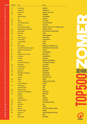| <b>POS 2016</b> | <b>POS 2015</b> | <b>Titel</b>                            | <b>Artiest</b>                                                            |              |
|-----------------|-----------------|-----------------------------------------|---------------------------------------------------------------------------|--------------|
| 54              | 179             | La Isla Bonita                          | <b>MADONNA</b>                                                            |              |
| 55              | 17              | <b>El Mismo Sol</b>                     | <b>ALVARO SOLER</b>                                                       |              |
| 56              | 152             | <b>Hips Don't Lie</b>                   | <b>SHAKIRA &amp; WYCLEF JEAN</b>                                          |              |
| 57              | 74              | <b>To Brazil</b>                        | <b>VENGABOYS</b>                                                          |              |
| 58              | $\blacksquare$  | <b>Work From Home</b>                   | <b>FIFTH HARMONY</b>                                                      |              |
| 59              | 50              | <b>Rio</b>                              | <b>MAYWOOD</b>                                                            |              |
| 60              | 68              | <b>Rise Up</b>                          | <b>YVES LAROCK</b>                                                        |              |
| 61              | 151             | <b>Lion In The Morning Sun</b>          | <b>WILL AND THE PEOPLE</b>                                                |              |
| 62              | 39              | <b>Macarena</b>                         | <b>LOS DEL RIO</b>                                                        |              |
| 63              | $\omega$        | <b>Don't You Need Somebody</b>          | <b>REDONE &amp; SHAGGY &amp; R. CITY &amp; ENRIQUE IGLESIAS</b>           |              |
| 64              | 216             | Mi Rowsu (Tuintje In Mijn Hart)         | <b>DAMARU &amp; JAN SMIT</b>                                              |              |
| 65              | 113             | <b>Mas Que Nada</b>                     | <b>BLACK EYED PEAS &amp; SERGIO MENDES</b>                                |              |
| 66              | 201             | <b>Wavin' Flag</b>                      | <b>K'NAAN</b>                                                             |              |
| 67              | 72              | <b>Tsunami</b>                          | <b>DVBBS &amp; BORGEOUS</b>                                               |              |
| 68              | 24              | Livin' La Vida Loca                     | <b>RICKY MARTIN</b>                                                       |              |
| 69              | 120             | I Gotta Feeling                         | <b>BLACK EYED PEAS</b>                                                    |              |
| 70              | 42              | La Camisa Negra                         | <b>JUANES</b>                                                             |              |
| 71              | 37              | Kylie                                   | <b>AKCENT</b>                                                             |              |
| 72              | 95              | <b>Sun Is Shining</b>                   | <b>BOB MARLEY &amp; FUNKSTAR DE LUXE</b>                                  |              |
| 73              | ä,              | I Know What You Did Last Summer         | <b>SHAWN MENDES &amp; CAMILA CABELLO</b>                                  |              |
| 74              | 58              | Mambo No. 5 (A Little Bit Of)           | <b>LOU BEGA</b>                                                           |              |
| 75              | 47              | <b>Reality</b>                          | <b>LOST FREQUENCIES</b>                                                   |              |
| 76              | 82              | Sweat [A La La La La Long]              | <b>INNER CIRCLE</b>                                                       |              |
| 77              | 80              | <b>Sonnentanz</b>                       | KLANGKARUSSELL                                                            |              |
| 78              | 53              | La Bomba                                | <b>KING AFRICA</b>                                                        |              |
| 79<br>80        | 65<br>÷.        | La Tortura<br>This Is What You Came For | <b>SHAKIRA &amp; ALEJANDRO SANZ</b><br><b>CALVIN HARRIS &amp; RIHANNA</b> |              |
| 81              | 123             | <b>Suavemente</b>                       | <b>ELVIS CRESPO</b>                                                       |              |
| 82              | 63              | <b>Love Generation</b>                  | <b>BOB SINCLAR</b>                                                        |              |
| 83              | 30              | Let's Get Loud                          | <b>JENNIFER LOPEZ</b>                                                     |              |
| 84              | 220             | <b>Boten Anna</b>                       | <b>BASSHUNTER</b>                                                         |              |
| 85              | 43              | <b>What Makes You Beautiful</b>         | <b>ONE DIRECTION</b>                                                      |              |
| 86              | 459             | <b>The Riddle</b>                       | <b>GIGI D'AGOSTINO</b>                                                    |              |
| 87              | ÷.              | <b>Titanium</b>                         | <b>DAVID GUETTA &amp; SIA</b>                                             |              |
| 88              | 148             | <b>Simarik</b>                          | <b>TARKAN</b>                                                             |              |
| 89              | 132             | I Like It                               | <b>ENRIQUE IGLESIAS &amp; PITBULL</b>                                     |              |
| 90              | ÷,              | <b>Everytime We Touch</b>               | <b>CASCADA</b>                                                            |              |
| 91              | 85              | <b>Club Tropicana</b>                   | <b>WHAM!</b>                                                              |              |
| 92              | ÷.              | <b>Cake By The Ocean</b>                | <b>DNCE</b>                                                               |              |
| 93              | 165             | <b>Carnaval De Paris</b>                | <b>DARIO G</b>                                                            |              |
| 94              | 27              | <b>Watch Out For This (Bumaye)</b>      | <b>MAJOR LAZER</b>                                                        |              |
| 95              | 115             | <b>Bamboleo</b>                         | <b>GIPSY KINGS</b>                                                        |              |
| 96              | ÷               | <b>One Dance</b>                        | <b>DRAKE</b>                                                              |              |
| 97              |                 | <b>Temperature</b>                      | <b>SEAN PAUL</b>                                                          |              |
| 98              | 320             | <b>Could You Be Loved</b>               | <b>BOB MARLEY</b>                                                         |              |
| 99              | 166             | <b>Worth It</b>                         | <b>FIFTH HARMONY &amp; KID INK</b>                                        |              |
| 100             | 414             | <b>Hot In Herre</b>                     | <b>NELLY</b>                                                              |              |
| 101             | 81              | <b>Narcotic</b>                         | <b>LIQUIDO</b>                                                            |              |
| 102             | 66              | <b>Get Lucky</b>                        | <b>DAFT PUNK &amp; PHARRELL WILLIAMS</b>                                  |              |
| 103             | 108             | <b>Vamos A La Playa</b>                 | <b>RIGHEIRA</b>                                                           |              |
| 104             | 101             | <b>Another You</b><br><b>Ride It</b>    | <b>ARMIN VAN BUUREN &amp; MR. PROBZ</b>                                   |              |
| 105<br>106      | ÷.<br>56        | Que Si, Que No                          | <b>MAAN</b><br><b>JODY BERNAL</b>                                         |              |
|                 |                 |                                         |                                                                           | <b>MUSIC</b> |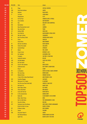| <b>POS 2016</b> | <b>POS 2015</b> | <b>Titel</b>                                          | <b>Artiest</b>                                      |              |
|-----------------|-----------------|-------------------------------------------------------|-----------------------------------------------------|--------------|
| 107             | 36              | <b>Plage</b>                                          | <b>CRYSTAL FIGHTERS</b>                             |              |
| 108             | 258             | <b>Party Rock Anthem</b>                              | <b>LMFAO</b>                                        |              |
| 109             | 129             | <b>Kokomo</b>                                         | <b>BEACH BOYS</b>                                   |              |
| 110             | 77              | I'm Yours                                             | <b>JASON MRAZ</b>                                   |              |
| 111             | $\blacksquare$  | Rampeneren                                            | ALI B                                               |              |
| 112             | 172             | <b>On The Floor</b>                                   | <b>JENNIFER LOPEZ &amp; PITBULL</b>                 |              |
| 113             | 170             | Coco Jamboo                                           | <b>MR PRESIDENT</b>                                 |              |
| 114             | 107             | Hoe                                                   | <b>NIELSON &amp; MISS MONTREAL</b>                  |              |
| 115             | 189             | <b>Hey Brother</b>                                    | <b>AVICII</b>                                       |              |
| 116             | 135             | <b>Boys (Summertime Love)</b>                         | <b>SABRINA</b>                                      |              |
| 117             | 180             | <b>Hey, Soul Sister</b>                               | <b>TRAIN</b>                                        |              |
| 118             | 217             | <b>Infinity 2008</b>                                  | <b>GURU JOSH</b>                                    |              |
| 119             | 86              | <b>Can't Hold Us</b>                                  | <b>MACKLEMORE &amp; RYAN LEWIS</b>                  |              |
| 120             | 253             | <b>We Like To Party</b>                               | <b>VENGABOYS</b>                                    |              |
| 121             | 41              | <b>Don't You Worry Child</b>                          | <b>SWEDISH HOUSE MAFIA</b>                          |              |
| 122             | 70              | <b>Fiesta</b>                                         | <b>SUNCLUB</b>                                      |              |
| 123             | ä,              | <b>Ocean Drive</b>                                    | <b>DUKE DUMONT</b>                                  |              |
| 124             | 79              | <b>(Un Dos Tres) Maria</b>                            | <b>RICKY MARTIN</b>                                 |              |
| 125             | 188             | <b>Follow The Leader</b>                              | <b>SOCA BOYS</b>                                    |              |
| 126             | 109             | <b>Summerthing!</b>                                   | <b>AFROJACK</b>                                     |              |
| 127             | 87              | <b>Miami</b>                                          | <b>WILL SMITH</b>                                   |              |
| 128             | 190             | <b>Crazy In Love</b>                                  | <b>BEYONCÉ &amp; JAY Z</b>                          |              |
| 129             | 143             | <b>Mr. Saxobeat</b>                                   | <b>ALEXANDRA STAN</b>                               |              |
| 130             | Ξ               | <b>Trumpets</b>                                       | <b>SAK NOEL &amp; SEAN PAUL</b>                     |              |
| 131             | 48              | Samba De Janeiro                                      | <b>BELLINI</b>                                      |              |
| 132             | 245             | <b>Call Me Maybe</b>                                  | <b>CARLY RAE JEPSEN</b>                             |              |
| 133             | 410             | <b>Got The Feelin'</b>                                | <b>FIVE</b>                                         |              |
| 134             | 126             | <b>Cool For The Summer</b>                            | <b>DEMI LOVATO</b>                                  |              |
| 135             | 71              | <b>California Gurls</b>                               | <b>KATY PERRY &amp; SNOOP DOGG</b>                  |              |
| 136             | ÷,              | <b>Drop It</b>                                        | <b>SCOOP</b>                                        | <b>NII</b>   |
| 137             | 411             | La Gozadera                                           | <b>GENTE DE ZONA &amp; MARC ANTHONY</b>             |              |
| 138             | 275             | <b>The Lazy Song</b>                                  | <b>BRUNO MARS</b>                                   |              |
| 139             | 337             | <b>Rhythm Divine</b>                                  | <b>ENRIQUE IGLESIAS</b>                             |              |
| 140             | ÷.              | I Took A Pill In Ibiza (Seeb Remix)                   | <b>MIKE POSNER &amp; SEEB</b>                       |              |
| 141             | 303             | <b>Sunshine Reggae</b>                                | <b>LAID BACK</b>                                    |              |
| 142             | 139             | <b>Welcome To St. Tropez</b>                          | <b>DJ ANTOINE</b><br><b>JANIECK &amp; SAM FELDT</b> |              |
| 143<br>144      | ÷,<br>73        | <b>Feel The Love (Sam Feldt Edit)</b><br>Me Gustas Tu | <b>MANU CHAO</b>                                    |              |
| 145             | 171             | <b>Heart Skips A Beat</b>                             | <b>OLLY MURS</b>                                    |              |
| 146             | 145             | <b>Three Little Birds</b>                             | <b>BOB MARLEY</b>                                   |              |
| 147             | 51              | <b>Lovers On The Sun</b>                              | <b>DAVID GUETTA</b>                                 |              |
| 148             | 104             | In The Summertime                                     | <b>MUNGO JERRY</b>                                  |              |
| 149             | 31              | <b>Rather Be</b>                                      | <b>CLEAN BANDIT &amp; JESS GLYNNE</b>               |              |
| 150             | Ξ               | <b>Relax, Take It Easy</b>                            | <b>MIKA</b>                                         |              |
| 151             | ÷               | <b>Don't Let Me Down</b>                              | THE CHAINSMOKERS & DAYA                             |              |
| 152             | 177             | <b>Sexy Als Ik Dans</b>                               | <b>NIELSON</b>                                      |              |
| 153             | 247             | <b>Someone Loves You Honey</b>                        | <b>JUNE LODGE &amp; PRINCE MOHAMMED</b>             |              |
| 154             | ÷.              | Dj Got Us Fallin' In Love                             | <b>USHER &amp; PITBULL</b>                          |              |
| 155             | 157             | Ik Neem Je Mee                                        | <b>GERS PARDOEL</b>                                 |              |
| 156             | 22              | <b>Tacata</b>                                         | <b>TACABRO</b>                                      |              |
| 157             | 295             | <b>Sexy And I Know It</b>                             | <b>LMFAO</b>                                        |              |
| 158             |                 | <b>Una Paloma Blanca</b>                              | <b>GEORGE BAKER SELECTION</b>                       |              |
| 159             |                 | Light It Up                                           | <b>MAJOR LAZER &amp; FUSE ODG</b>                   | <b>MUSIC</b> |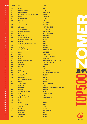| <b>POS 2016</b> | <b>POS 2015</b> | <b>Titel</b>                                    | <b>Artiest</b>                                        |              |
|-----------------|-----------------|-------------------------------------------------|-------------------------------------------------------|--------------|
| 160             | 211             | Sun Is Up                                       | <b>INNA</b>                                           |              |
| 161             |                 | <b>Howling At The Moon</b>                      | <b>MILOW</b>                                          |              |
| 162             | 112             | <b>On Top Of The World</b>                      | <b>IMAGINE DRAGONS</b>                                |              |
| 163             | 447             | <b>Show Me Love (Edx's Indian Summer Remix)</b> | <b>SAM FELDT</b>                                      |              |
| 164             | 137             | <b>Animals</b>                                  | <b>MARTIN GARRIX</b>                                  |              |
| 165             | 89              | <b>The Boys Of Summer</b>                       | <b>DON HENLEY</b>                                     |              |
| 166             | 250             | <b>Mooie Dag</b>                                | <b>JAYH</b>                                           |              |
| 167             |                 | Hey!                                            | <b>FAIS &amp; AFROJACK</b>                            |              |
| 168             | 154             | <b>Boom Boom Boom Boom</b>                      | <b>VENGABOYS</b>                                      |              |
| 169             | 378             | <b>Locked Away</b>                              | <b>R. CITY &amp; ADAM LEVINE</b>                      |              |
| 170             |                 | <b>Waiting For Tonight</b>                      | <b>JENNIFER LOPEZ</b>                                 |              |
| 171             | 142             | <b>Copacabana (At The Copa)</b>                 | <b>BARRY MANILOW</b>                                  |              |
| 172             | 418             | Replay                                          | <b>IYAZ &amp; SEAN KINGSTON</b>                       |              |
| 173             | ä,              | All In My Head (Flex)                           | <b>FIFTH HARMONY</b>                                  |              |
| 174             | 344             | The Rigga Ding Dong Song                        | <b>PASSION FRUIT</b>                                  |              |
| 175             |                 | <b>Single Ladies (Put A Ring On It)</b>         | <b>BEYONCÉ</b>                                        |              |
| 176             | 377             | <b>Boombastic</b>                               | <b>SHAGGY</b>                                         |              |
| 177             | ÷.              | Don't Be So Shy [Filatov & Karas Remix]         | <b>IMANY</b>                                          |              |
| 178             | 168             | <b>Dolce Vita</b>                               | <b>RYAN PARIS</b>                                     |              |
| 179             | 336             | <b>Last Friday Night</b>                        | <b>KATY PERRY</b>                                     |              |
| 180             | 64              | This Is What It Feels Like                      | <b>ARMIN VAN BUUREN</b>                               |              |
| 181             | 110             | Casanova                                        | <b>ULTIMATE KAOS</b>                                  |              |
| 182             | 93              | <b>Escape</b>                                   | <b>ENRIQUE IGLESIAS</b>                               |              |
| 183             | 458             | Got 2 Luv U                                     | <b>SEAN PAUL &amp; ALEXIS JORDAN</b>                  |              |
| 184             | 160             | <b>Captain Jack</b>                             | <b>CAPTAIN JACK</b>                                   |              |
| 185             | 38              | <b>Prayer In C (Robin Schulz Remix)</b>         | LILLY WOOD & THE PRICK & ROBIN SCHULZ                 |              |
| 186             | 421             | <b>Chan Chan</b>                                | <b>BUENA VISTA SOCIAL CLUB</b>                        |              |
| 187             | 439             | <b>Sweet Sunshine</b>                           | <b>DOUWE BOB</b>                                      |              |
| 188             | 324             | Papi Chulo                                      | <b>LORNA</b>                                          |              |
| 189             | 33              | <b>Levels</b>                                   | <b>AVICII</b>                                         |              |
| 190             | 483             | <b>Ain't It Funny</b>                           | <b>JENNIFER LOPEZ</b>                                 |              |
| 191             | 375             | <b>Give Me Everything</b>                       | <b>PITBULL &amp; NAYER &amp; AFROJACK &amp; NE-YO</b> |              |
| 192             | 102             | <b>Que Viva La Vida</b>                         | <b>BELLE PEREZ</b>                                    |              |
| 193             | 138             | <b>Blue (Da Ba Dee)</b>                         | EIFFEL 65                                             |              |
| 194             |                 | <b>Catch &amp; Release (Deepend Remix)</b>      | <b>MATT SIMONS</b>                                    |              |
| 195             | 62              | <b>Obsesion</b>                                 | <b>AVENTURA</b>                                       |              |
| 196             | 467             | <b>The Sweet Escape</b>                         | <b>GWEN STEFANI &amp; AKON</b>                        |              |
| 197             |                 | <b>Summerlove</b>                               | <b>T-SPOON</b>                                        |              |
| 198             |                 | <b>Give It To Me</b>                            | TIMBALAND & JUSTIN TIMBERLAKE & NELLY FURTADO         |              |
| 199             | 312             | <b>Papa Chico</b>                               | <b>TONY ESPOSITO</b>                                  |              |
| 200             | 287             | <b>Never Leave You (Uh-Oooh)</b>                | <b>LUMIDEE</b>                                        |              |
| 201             | 265             | Lê Lê Lê                                        | <b>JOAO NETO &amp; FREDERICO</b>                      |              |
| 202             | 406             | <b>Crying At The Discotheque</b>                | <b>ALCAZAR</b>                                        |              |
| 203             | 163             | <b>More Than Friends</b>                        | <b>INNA &amp; DADDY YANKEE</b>                        |              |
| 204             | 150             | <b>Alane</b>                                    | <b>WES</b>                                            |              |
| 205             | 239             | Alejandro                                       | <b>LADY GAGA</b>                                      |              |
| 206             |                 | <b>Who Let The Dogs Out</b>                     | <b>BAHA MEN</b>                                       |              |
| 207             | $\blacksquare$  | Love On Top                                     | <b>BEYONCÉ</b>                                        |              |
| 208             | 280             | <b>One Love</b>                                 | <b>BOB MARLEY</b>                                     |              |
| 209             |                 | <b>I Need Your Love</b>                         | <b>SHAGGY &amp; MOHOMBI</b>                           |              |
| 210             |                 | <b>Once In A While</b>                          | <b>TIMEFLIES</b>                                      |              |
| 211             |                 | <b>Summer On You</b>                            | <b>SAM FELDT</b>                                      |              |
| 212             | 361             | <b>Call On Me</b>                               | <b>ERIC PRYDZ</b>                                     |              |
|                 |                 |                                                 |                                                       | <b>MUSIC</b> |

**IAV**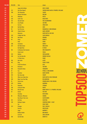| <b>POS 2016</b> | <b>POS 2015</b> | <b>Titel</b>                  | <b>Artiest</b>                                         |              |
|-----------------|-----------------|-------------------------------|--------------------------------------------------------|--------------|
| 213             | ÷.              | Lippen Op De Mijne            | <b>NICK &amp; SIMON</b>                                |              |
| 214             | 231             | <b>One (Your Name)</b>        | <b>SWEDISH HOUSE MAFIA &amp; PHARRELL WILLIAMS</b>     |              |
| 215             | 390             | <b>The Silmarillia</b>        | <b>CARLOS</b>                                          |              |
| 216             | ÷.              | <b>Beauty &amp; De Brains</b> | <b>NIELSON</b>                                         |              |
| 217             | 116             | <b>Hideaway</b>               | <b>KIESZA</b>                                          |              |
| 218             | 202             | Surfin' Usa                   | <b>BEACH BOYS</b>                                      |              |
| 219             | 133             | <b>Sky And Sand</b>           | <b>PAUL KALKBRENNER</b>                                |              |
| 220             | 291             | <b>Loca People</b>            | <b>SAK NOEL</b>                                        |              |
| 221             | a.              | <b>Fast Car</b>               | <b>JONAS BLUE</b>                                      |              |
| 222             | 260             | <b>Red Red Wine</b>           | <b>UB40</b>                                            |              |
| 223             | 59              | <b>Feel The Love</b>          | <b>RUDIMENTAL &amp; JOHN NEWMAN</b>                    |              |
| 224             | 289             | <b>I Need To Know</b>         | <b>MARC ANTHONY</b>                                    |              |
| 225             | ä,              | <b>Memories</b>               | <b>DAVID GUETTA &amp; KID CUDI</b>                     |              |
| 226             | 204             | <b>A Night Like This</b>      | <b>CARO EMERALD</b>                                    |              |
| 227             | 159             | <b>Man Down</b>               | <b>RIHANNA</b>                                         |              |
| 228             | 40              | <b>Parijs</b>                 | <b>KENNY B</b>                                         |              |
| 229             | ÷.              | Yeah                          | <b>USHER</b>                                           |              |
| 230             | 298             | <b>Sunchyme</b>               | <b>DARIO G</b>                                         |              |
| 231             | 267             | <b>Het Werd Zomer</b>         | <b>ROB DE NIJS</b>                                     |              |
| 232             | a,              | <b>Hot Right Now</b>          | <b>DJ FRESH</b>                                        |              |
| 233             | 182             | Se Bastasse Una Canzone       | <b>EROS RAMAZZOTTI</b>                                 |              |
| 234             | a.              | <b>Sweet Lovin'</b>           | <b>SIGALA</b>                                          |              |
| 235             | 293             | <b>Maldon</b>                 | <b>ZOUK MACHINE</b>                                    |              |
| 236             | 268             | <b>Can You Hear Me</b>        | <b>ENRIQUE IGLESIAS</b>                                |              |
| 237             | a.              | <b>If I Were Sorry</b>        | <b>FRANS</b>                                           |              |
| 238             | 106             | <b>Moi Lolita</b>             | <b>ALIZEE</b>                                          |              |
| 239             | 487             | <b>King</b>                   | <b>YEARS &amp; YEARS</b>                               |              |
| 240             | a.              | <b>Freed From Desire</b>      | <b>GALA</b>                                            |              |
| 241             | 174             | <b>Bromance</b>               | <b>TIM BERG</b>                                        |              |
| 242             | 196             | <b>Parada De Tettas</b>       | <b>VENGABOYS</b><br><b>PITBULL &amp; CHRIS BROWN</b>   | <b>ANHA</b>  |
| 243<br>244      | 25<br>327       | Fun<br><b>Sunshine</b>        | <b>DANCE NATION</b>                                    | EU N         |
| 245             | 263             | <b>Hey Sexy Lady</b>          | <b>SHAGGY</b>                                          |              |
| 246             | 114             | <b>When Love Takes Over</b>   | <b>DAVID GUETTA &amp; KELLY ROWLAND</b>                |              |
| 247             | 369             | <b>Baby I Love Your Way</b>   | <b>BIG MOUNTAIN</b>                                    |              |
| 248             | 45              | <b>Stereo Love</b>            | <b>EDWARD MAYA &amp; VIKA JIGULINA</b>                 |              |
| 249             | 328             | <b>Holiday</b>                | <b>MADONNA</b>                                         |              |
| 250             | 78              | Papaoutai                     | <b>STROMAE</b>                                         |              |
| 251             | 266             | <b>Living On Video</b>        | <b>PAKITO</b>                                          |              |
| 252             | 103             | <b>Blurred Lines</b>          | <b>ROBIN THICKE &amp; T.I. &amp; PHARRELL WILLIAMS</b> |              |
| 253             | 20              | <b>Azonto</b>                 | <b>FUSE ODG</b>                                        |              |
| 254             | $\omega$        | <b>Starships</b>              | <b>NICKI MINAJ</b>                                     |              |
| 255             | 98              | <b>Whenever, Wherever</b>     | <b>SHAKIRA</b>                                         |              |
| 256             | ÷.              | <b>How Deep Is Your Love</b>  | <b>CALVIN HARRIS</b>                                   |              |
| 257             | 261             | <b>Get Busy</b>               | <b>SEAN PAUL</b>                                       |              |
| 258             | 238             | <b>Holiday In Spain</b>       | <b>COUNTING CROWS &amp; BLOF</b>                       |              |
| 259             | A.              | Sex                           | <b>CHEAT CODES</b>                                     |              |
| 260             | 224             | <b>Changes</b>                | <b>FAUL &amp; WAD AD</b>                               |              |
| 261             | ä,              | <b>Push Up</b>                | <b>FREESTYLERS</b>                                     |              |
| 262             | ٠               | <b>Sugar</b>                  | <b>MAROON 5</b>                                        |              |
| 263             | ÷,              | <b>Buffalo Soldier</b>        | <b>BOB MARLEY</b>                                      |              |
| 264             | ä,              | <b>Lush Life</b>              | <b>ZARA LARSSON</b>                                    |              |
| 265             | 366             | <b>Cafe Del Mar</b>           | <b>ENERGY 52</b>                                       | <b>MUSIC</b> |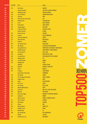| <b>POS 2016</b> | <b>POS 2015</b> | <b>Titel</b>                            | <b>Artiest</b>                                       |              |
|-----------------|-----------------|-----------------------------------------|------------------------------------------------------|--------------|
| 266             | 219             | <b>Don't Worry</b>                      | <b>MADCON</b>                                        |              |
| 267             | ä,              | <b>Zolang Ik Jou Heb</b>                | <b>SAM FELDT &amp; HENK WESTBROEK</b>                |              |
| 268             | 255             | <b>Burbujas De Amor</b>                 | <b>JUAN LUIS GUERRA</b>                              |              |
| 269             | 169             | <b>Save The World</b>                   | <b>SWEDISH HOUSE MAFIA</b>                           |              |
| 270             | 313             | <b>Firestone</b>                        | <b>KYGO</b>                                          |              |
| 271             | 480             | <b>When The Sun Comes Down</b>          | R.I.O.                                               |              |
| 272             | 360             | <b>Beautiful Girls</b>                  | <b>SEAN KINGSTON</b>                                 |              |
| 273             | 213             | <b>Forca</b>                            | <b>NELLY FURTADO</b>                                 |              |
| 274             | 164             | <b>Stolen Dance</b>                     | <b>MILKY CHANCE</b>                                  |              |
| 275             | 310             | <b>Voyage Voyage</b>                    | <b>KATE RYAN</b>                                     |              |
| 276             | 105             | <b>A Sky Full Of Stars</b>              | <b>COLDPLAY &amp; AVICII</b>                         |              |
| 277             | ä,              | <b>Endless Summer</b>                   | <b>OCEANA</b>                                        |              |
| 278             | 181             | <b>Summer Of Love</b>                   | <b>CASCADA</b>                                       |              |
| 279             | 325             | <b>Senorita</b>                         | <b>JUSTIN TIMBERLAKE</b>                             |              |
| 280             | 301             | <b>I Know You Want Me</b>               | <b>PITBULL</b>                                       |              |
| 281             | 321             | <b>Rock This Party</b>                  | <b>BOB SINCLAR</b>                                   |              |
| 282             | 91              | Mi Mi Mi                                | <b>SEREBRO</b>                                       |              |
| 283             | 304             | <b>Ein Tag Am Strand</b>                | <b>EELKE KLEIJN</b>                                  |              |
| 284             | 122             | <b>Get Spanish</b>                      | <b>DE JEUGD VAN TEGENWOORDIG</b>                     |              |
| 285             | 497             | Young, Wild & Free                      | <b>SNOOP DOGG &amp; WIZ KHALIFA &amp; BRUNO MARS</b> |              |
| 286             | ÷               | <b>Beautiful People</b>                 | <b>CHRIS BROWN &amp; BENNY BENASSI</b>               |              |
| 287             | 486             | I Like To Move It                       | <b>REEL 2 REAL</b>                                   |              |
| 288             | 306             | <b>Sexy Bitch</b>                       | <b>DAVID GUETTA &amp; AKON</b>                       |              |
| 289             | 462             | <b>Cose Della Vita</b>                  | <b>EROS RAMAZZOTTI &amp; TINA TURNER</b>             |              |
| 290             | 252<br>156      | <b>Gangnam Style</b>                    | <b>PSY</b><br><b>MANAU</b>                           |              |
| 291<br>292      | 424             | La Tribu De Dana<br><b>Midnight Sun</b> | <b>ELENA</b>                                         |              |
| 293             | ÷.              | <b>Waterfall</b>                        | <b>ATLANTIC OCEAN</b>                                |              |
| 294             | 347             | <b>Baby Boy</b>                         | <b>BEYONCÉ &amp; SEAN PAUL</b>                       |              |
| 295             | 405             | <b>Sunny</b>                            | <b>BONEY M</b>                                       |              |
| 296             | 197             | <b>Trumpets</b>                         | <b>JASON DERULO</b>                                  | 77 N IW      |
| 297             | ÷,              | <b>Seven Days In Sunny June</b>         | <b>JAMIROQUAI</b>                                    |              |
| 298             | 326             | <b>Oh Carolina</b>                      | <b>SHAGGY</b>                                        |              |
| 299             | 342             | Put Your Hands Up 4 Detroit             | <b>FEDDE LE GRAND</b>                                |              |
| 300             | 436             | <b>Kingston Town</b>                    | <b>UB40</b>                                          |              |
| 301             | 469             | Gecko                                   | <b>OLIVER HELDENS</b>                                |              |
| 302             | 246             | Uh La La La                             | <b>ALEXIA</b>                                        |              |
| 303             | 149             | <b>Am I Wrong</b>                       | <b>NICO &amp; VINZ</b>                               |              |
| 304             | 453             | [Mucho Mambo] Sway                      | <b>SHAFT</b>                                         |              |
| 305             | 183             | <b>Good Time</b>                        | <b>OWL CITY &amp; CARLY RAE JEPSEN</b>               |              |
| 306             | 409             | <b>Baila Me</b>                         | <b>GIPSY KINGS</b>                                   |              |
| 307             | 161             | <b>Moves Like Jagger</b>                | <b>MAROON 5 &amp; CHRISTINA AGUILERA</b>             |              |
| 308             | 225             | <b>Sandstorm</b>                        | <b>DARUDE</b>                                        |              |
| 309             | A.              | <b>Messin' Around</b>                   | <b>PITBULL &amp; ENRIQUE IGLESIAS</b>                |              |
| 310             | 121             | <b>Alors On Danse</b>                   | <b>STROMAE</b>                                       |              |
| 311             | 264             | <b>Maria Maria</b>                      | <b>SANTANA</b>                                       |              |
| 312             | 88              | <b>Rosana</b>                           | <b>WAX</b>                                           |              |
| 313             | 335             | <b>Hakuna Matata</b>                    | <b>JIMMY CLIFF</b>                                   |              |
| 314             | 90              | <b>Nobody To Love</b>                   | <b>SIGMA</b>                                         |              |
| 315             | 94              | <b>Beautiful Day</b>                    | U <sub>2</sub>                                       |              |
| 316             | 309             | <b>Are You With Me</b>                  | <b>LOST FREQUENCIES</b>                              |              |
| 317             | ÷               | <b>Whistle</b>                          | <b>FLO RIDA</b>                                      |              |
| 318             | 119             | No Woman, No Cry                        | <b>BOB MARLEY</b>                                    | <b>MUSIC</b> |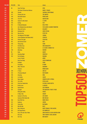| <b>POS 2016</b> | <b>POS 2015</b> | <b>Titel</b>                          | <b>Artiest</b>                                |                      |
|-----------------|-----------------|---------------------------------------|-----------------------------------------------|----------------------|
| 319             | 96              | <b>Stole The Show</b>                 | <b>KYGO</b>                                   |                      |
| 320             | ä,              | <b>The Power Of American Natives</b>  | <b>DANCE 2 TRANCE</b>                         |                      |
| 321             | 345             | <b>Smooth</b>                         | <b>SANTANA &amp; ROB THOMAS</b>               |                      |
| 322             | 471             | <b>Chasing The Sun</b>                | <b>THE WANTED</b>                             |                      |
| 323             | 434             | <b>Dancehall Queen</b>                | <b>BEENIE MAN</b>                             |                      |
| 324             | 454             | <b>J'me Tire</b>                      | <b>MAÎTRE GIMS</b>                            |                      |
| 325             | 392             | <b>Sweets For My Sweet</b>            | <b>CJ LEWIS</b>                               |                      |
| 326             | 475             | Da Bop                                | W.T.F                                         |                      |
| 327             | 193             | <b>El Mundo Bailando</b>              | <b>BELLE PEREZ</b>                            |                      |
| 328             | 29              | Ain't Nobody (Loves Me Better)        | <b>FELIX JAEHN &amp; JASMINE THOMPSON</b>     |                      |
| 329             | 282             | <b>Where Do You Go</b>                | <b>NO MERCY</b>                               |                      |
| 330             | 386             | <b>Hollaback Girl</b>                 | <b>GWEN STEFANI</b>                           |                      |
| 331             | 136             | <b>Haus Am See</b>                    | <b>PETER FOX</b>                              |                      |
| 332             | 331             | The Rhythm Of The Night               | <b>CORONA</b>                                 |                      |
| 333             | 346             | <b>Clocks (Rhythms Del Mundo Mix)</b> | <b>COLDPLAY</b>                               |                      |
| 334             | 203             | <b>Gimme The Light</b>                | <b>SEAN PAUL</b>                              |                      |
| 335             | 162             | Aan De Kust (Live)                    | <b>BLOF</b>                                   |                      |
| 336             | 370             | <b>Thong Song</b>                     | <b>SISQO</b>                                  |                      |
| 337             | 271             | <b>Piu Bella Cosa</b>                 | <b>EROS RAMAZZOTTI</b>                        |                      |
| 338             | 34              | <b>Drank &amp; Drugs</b>              | LIL' KLEINE & RONNIE FLEX                     |                      |
| 339             | 230             | <b>Mmmbop</b>                         | <b>HANSON</b>                                 |                      |
| 340             | 99              | <b>Rude</b>                           | <b>MAGIC!</b>                                 |                      |
| 341             | 379             | <b>Saturday Night</b>                 | <b>WHIGFIELD</b>                              |                      |
| 342             | 352             | <b>Pon De Replay</b>                  | <b>RIHANNA</b>                                |                      |
| 343             | ÷,              | <b>Lovers Friends</b>                 | <b>MÖWE</b>                                   |                      |
| 344             | ÷,              | <b>Rock Your Body</b>                 | <b>JUSTIN TIMBERLAKE</b>                      |                      |
| 345             | 237             | Goodbye                               | <b>FEDER</b>                                  |                      |
| 346             | ÷,              | <b>Everybody</b>                      | DJ BOBO                                       |                      |
| 347             | 481             | <b>Who's That Girl</b>                | <b>MADONNA</b>                                |                      |
| 348<br>349      | ä,<br>249       | <b>Treasure</b><br>2 Times            | <b>BRUNO MARS</b><br><b>ANN LEE</b>           | NM<br>$\blacksquare$ |
| 350             | 232             | <b>I Promised Myself</b>              | <b>NICK KAMEN</b>                             |                      |
| 351             | 446             | <b>Amazing</b>                        | <b>INNA</b>                                   |                      |
| 352             | 365             | La Cumbia                             | <b>SAILOR</b>                                 |                      |
| 353             | 235             | <b>Dance Again</b>                    | <b>JENNIFER LOPEZ &amp; PITBULL</b>           |                      |
| 354             | 363             | I Go To Rio                           | <b>PETER ALLEN</b>                            |                      |
| 355             | 229             | <b>Club Can't Handle Me</b>           | <b>FLO RIDA &amp; DAVID GUETTA</b>            |                      |
| 356             | 234             | <b>Be My Lover</b>                    | <b>LA BOUCHE</b>                              |                      |
| 357             | 290             | <b>Upside Down</b>                    | <b>JACK JOHNSON</b>                           |                      |
| 358             | 124             | <b>Sunlight</b>                       | THE MAGICIAN & YEARS & YEARS                  |                      |
| 359             | ÷,              | <b>Killing Me Softly</b>              | <b>FUGEES</b>                                 |                      |
| 360             | ÷,              | It Wasn't Me                          | <b>SHAGGY</b>                                 |                      |
| 361             | 140             | <b>Summer In The City</b>             | <b>JOE COCKER</b>                             |                      |
| 362             | A.              | <b>Someone Who Needs Me</b>           | <b>BOB SINCLAR</b>                            |                      |
| 363             | 356             | <b>Rock With You</b>                  | <b>INNER CIRCLE</b>                           |                      |
| 364             | 272             | <b>Euphoria</b>                       | <b>LOREEN</b>                                 |                      |
| 365             | 422             | <b>Tarzan Boy</b>                     | <b>BALTIMORA</b>                              |                      |
| 366             | 155             | <b>Ride Wit Me</b>                    | <b>NELLY</b>                                  |                      |
| 367             | 178             | <b>Miss California</b>                | <b>DANTE THOMAS &amp; PRAS MICHEL</b>         |                      |
| 368             | 322             | <b>No Tengo Dinero</b>                | <b>LOS UMBRELLOS</b>                          |                      |
| 369             | 173             | <b>You're The One That I Want</b>     | <b>JOHN TRAVOLTA &amp; OLIVIA NEWTON-JOHN</b> |                      |
| 370             | a.              | Girls Like                            | <b>TINIE TEMPAH &amp; ZARA LARSSON</b>        |                      |
| 371             | 413             | Stir It Up                            | <b>BOB MARLEY</b>                             | <b>MUSIC</b>         |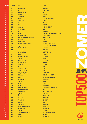| <b>POS 2016</b> | <b>POS 2015</b> | <b>Titel</b>                      | <b>Artiest</b>                                           |              |
|-----------------|-----------------|-----------------------------------|----------------------------------------------------------|--------------|
| 372             | 394             | <b>Stars Are Blind</b>            | <b>PARIS HILTON</b>                                      |              |
| 373             | ä,              | <b>Sugar</b>                      | <b>ROBIN SCHULZ</b>                                      |              |
| 374             | 251             | <b>Dreadlock Holiday</b>          | <b>10 CC</b>                                             |              |
| 375             | 146             | <b>Ella Elle L'a</b>              | <b>KATE RYAN</b>                                         |              |
| 376             | 226             | <b>A Dios Le Pido</b>             | <b>JUANES</b>                                            |              |
| 377             | 262             | <b>My Love</b>                    | <b>ROUTE 94 &amp; JESS GLYNNE</b>                        |              |
| 378             | 222             | <b>Cotton Eye Joe</b>             | <b>REDNEX</b>                                            |              |
| 379             | 269             | <b>Riptide</b>                    | <b>VANCE JOY</b>                                         |              |
| 380             | 499             | We Be Burnin'                     | <b>SEAN PAUL</b>                                         |              |
| 381             | 210             | <b>Holiday Rap</b>                | <b>MC MIKER G &amp; DJ SVEN</b>                          |              |
| 382             | 54              | <b>Waiting For Love</b>           | <b>AVICII</b>                                            |              |
| 383             | 334             | Aicha                             | <b>OUTLANDISH</b>                                        |              |
| 384             | 240             | <b>Conga</b>                      | <b>MIAMI SOUND MACHINE &amp; GLORIA ESTEFAN</b>          |              |
| 385             | ÷.              | <b>King Of My Castle</b>          | <b>WAMDUE PROJECT</b>                                    |              |
| 386             | 198             | Do You Know (The Ping Pong Song)  | <b>ENRIQUE IGLESIAS</b>                                  |              |
| 387             | 479             | <b>Dansen Aan Zee</b>             | <b>BLOF</b>                                              |              |
| 388             | 473             | <b>Sing Hallelujah!</b>           | <b>DR ALBAN</b>                                          |              |
| 389             | 147             | <b>Waves (Robin Schulz Remix)</b> | <b>MR. PROBZ &amp; ROBIN SCHULZ</b>                      |              |
| 390             | 117             | <b>Toppertje!</b>                 | <b>GUILLERMO &amp; TROPICAL DANNY</b>                    |              |
| 391             | 299             | <b>She Moves (Far Away)</b>       | <b>ALLE FARBEN</b>                                       |              |
| 392             | 492             | <b>Turn Me On</b>                 | <b>KEVIN LYTTLE</b>                                      |              |
| 393             |                 | <b>Pumped Up Kicks</b>            | <b>FOSTER THE PEOPLE</b>                                 |              |
| 394             | 244             | <b>Volare</b>                     | <b>GIPSY KINGS</b>                                       |              |
| 395             | 444             | <b>Dance The Night Away</b>       | <b>MAVERICKS</b>                                         |              |
| 396             | 127             | <b>Yakalelo</b>                   | <b>NOMADS</b>                                            |              |
| 397             | 338             | <b>All That She Wants</b>         | <b>ACE OF BASE</b>                                       |              |
| 398             | 200             | <b>Stare Into The Sun</b>         | <b>GRAFFITI6</b>                                         |              |
| 399             | 357             | <b>Formidable</b>                 | <b>STROMAE</b>                                           |              |
| 400             | 332             | Hot                               | <b>INNA</b>                                              |              |
| 401             | 223             | <b>Here Comes The Sun</b>         | <b>BEATLES</b>                                           |              |
| 402             | 387             | <b>Last Thing On My Mind</b>      | <b>STEPS</b>                                             |              |
| 403             | 485             | <b>Sitting, Waiting, Wishing</b>  | <b>JACK JOHNSON</b>                                      |              |
| 404             | 423             | Mr Loverman                       | <b>SHABBA RANKS &amp; SHAGGY</b>                         |              |
| 405             | 388             | <b>Breathe</b>                    | <b>BLU CANTRELL &amp; SEAN PAUL</b>                      |              |
| 406             | 488             | <b>Demasiado Corazon</b>          | <b>MINK DEVILLE</b>                                      |              |
| 407             | ä,              | <b>Easy Love</b>                  | <b>SIGALA</b>                                            |              |
| 408             | 354             | <b>Hey Ya!</b>                    | <b>OUTKAST</b>                                           |              |
| 409             | 184             | <b>Perdono</b>                    | <b>TIZIANO FERRO</b>                                     |              |
| 410             | 478             | <b>Destination Calabria</b>       | <b>ALEX GAUDINO &amp; CRYSTAL WATERS</b>                 |              |
| 411             | 348             | 50 Ways To Say Goodbye            | <b>TRAIN</b>                                             |              |
| 412             | ä,              | <b>Summer Nights</b>              | <b>TIËSTO &amp; JOHN LEGEND</b>                          |              |
| 413             | 372             | <b>Up And Down</b>                | <b>VENGABOYS</b>                                         |              |
| 414             | ä,              | <b>Rivers</b>                     | <b>THOMAS JACK</b>                                       |              |
| 415             | 314             | <b>Give My Life</b>               | <b>ARMY OF LOVERS</b>                                    |              |
| 416             | 221             | World, Hold On                    | <b>BOB SINCLAR</b>                                       |              |
| 417             | 500             | <b>How Bizarre</b>                | <b>OMC</b>                                               |              |
| 418             | 452             | <b>Lola's Theme</b>               | <b>SHAPESHIFTERS</b>                                     |              |
| 419             | 482             | Remember (Na Na Na Hey)           | <b>SUMMER LOVE</b>                                       |              |
| 420             | 380             | <b>California Love</b>            | <b>2PAC &amp; DR DRE</b>                                 |              |
| 421             | 396             | E Samba                           | <b>JUNIOR JACK</b>                                       |              |
| 422             | 340<br>456      | <b>Turn Your Lights Down Low</b>  | <b>BOB MARLEY &amp; LAURYN HILL</b><br><b>ERIC PRYDZ</b> |              |
| 423<br>424      | 420             | <b>Pjanoo</b><br><b>She Bangs</b> | <b>RICKY MARTIN</b>                                      |              |
|                 |                 |                                   |                                                          | <b>MUSIC</b> |

**IAV** 

Ę  $\overline{\phantom{a}}$ 

Þ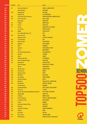| <b>POS 2016</b> | <b>POS 2015</b> | <b>Titel</b>                                      | <b>Artiest</b>                                |              |
|-----------------|-----------------|---------------------------------------------------|-----------------------------------------------|--------------|
| 425             | 83              | We Are One [Ole Ola]                              | <b>PITBULL &amp; JENNIFER LOPEZ</b>           |              |
| 426             |                 | <b>Good Vibrations</b>                            | <b>BEACH BOYS</b>                             |              |
| 427             | 259             | <b>Désenchantée</b>                               | <b>KATE RYAN</b>                              |              |
| 428             | ä,              | <b>Beautiful Life</b>                             | <b>LOST FREQUENCIES</b>                       |              |
| 429             | 425             | <b>Could I Have This Kiss Forever</b>             | <b>WHITNEY HOUSTON &amp; ENRIQUE IGLESIAS</b> |              |
| 430             | 493             | Let The Sun Shine                                 | <b>MILK &amp; SUGAR</b>                       |              |
| 431             | ä,              | <b>Bongo Bong</b>                                 | <b>MANU CHAO</b>                              |              |
| 432             | 214             | <b>Children</b>                                   | <b>ROBERT MILES</b>                           |              |
| 433             | 318             | <b>Sunrise</b>                                    | <b>SIMPLY RED</b>                             |              |
| 434             | 57              | La La La                                          | <b>NAUGHTY BOY &amp; SAM SMITH</b>            |              |
| 435             | ä,              | I'm Too Sexy                                      | <b>RIGHT SAID FRED</b>                        |              |
| 436             | 307             | <b>Bubbly</b>                                     | <b>COLBIE CAILLAT</b>                         |              |
| 437             | ä,              | Roc Ya Body (Mic Check 1, 2)                      | <b>MVP</b>                                    |              |
| 438             | 429             | <b>Encore Une Fois</b>                            | SASH!                                         |              |
| 439             | ä,              | <b>Make My Love Go</b>                            | <b>JAY SEAN &amp; SEAN PAUL</b>               |              |
| 440             | 496             | La Cucamarcha                                     | <b>TNN</b>                                    |              |
| 441             | 296             | <b>Mi Chico Latino</b>                            | <b>GERI HALLIWELL</b>                         |              |
| 442             | 185             | <b>Happiness</b>                                  | <b>ALEXIS JORDAN</b>                          |              |
| 443             | 75              | Jubel                                             | <b>KLINGANDE</b>                              |              |
| 444             | 403             | <b>Tease Me</b>                                   | <b>CHAKA DEMUS &amp; PLIERS</b>               |              |
| 445             | 158             | I Got U                                           | <b>DUKE DUMONT</b>                            |              |
| 446             | 350             | <b>Ma Che Bello Questo Amore</b>                  | <b>EROS RAMAZZOTTI</b>                        |              |
| 447             | 329             | <b>Save Me</b>                                    | <b>LISTENBEE</b>                              |              |
| 448             | 460             | Angel                                             | <b>SHAGGY</b>                                 |              |
| 449             | 404             | <b>Bara Bara Bere Bere</b>                        | <b>LEO RODRIGUEZ</b>                          |              |
| 450             | 474             | <b>Hello, You Beautiful Thing</b>                 | <b>JASON MRAZ</b>                             |              |
| 451             | 416             | <b>Oye Mi Canto</b>                               | <b>GLORIA ESTEFAN</b>                         |              |
| 452             |                 | <b>Perfect Strangers</b>                          | <b>JONAS BLUE &amp; JP COOPER</b>             |              |
| 453             | ä,              | <b>All Star</b>                                   | <b>SMASH MOUTH</b>                            |              |
| 454             | 274             | <b>Rap Das Armas</b>                              | <b>CIDINHO &amp; DOCA</b>                     |              |
| 455             | 292             | <b>Show Me Love</b>                               | <b>ROBINS</b>                                 |              |
| 456             | 278             | <b>Gregory's Theme</b>                            | <b>BASTO</b>                                  | <b>AUL</b>   |
| 457             | 498             | <b>Wild World</b>                                 | <b>MAXI PRIEST</b>                            |              |
| 458             | 448             | <b>No Letting Go</b>                              | <b>WAYNE WONDER</b>                           |              |
| 459             | 319             | <b>Ritmo De La Noche</b>                          | <b>MYSTIC</b>                                 |              |
| 460             | 118             | <b>Billionaire</b>                                | <b>TRAVIE MCCOY &amp; BRUNO MARS</b>          |              |
| 461             | 302             | <b>Beautiful Liar</b>                             | <b>BEYONCÉ &amp; SHAKIRA</b>                  |              |
| 462             |                 | <b>Into The Groove</b>                            | <b>MADONNA</b>                                |              |
| 463             | 430             | Hey (Nah Neh Nah)                                 | <b>MILK &amp; SUGAR &amp; VAYA CON DIOS</b>   |              |
| 464             | 438             | Oh La La La                                       | 2 EIVISSA                                     |              |
| 465             | 339             | <b>One Day / Reckoning Song (Wankelmut Remix)</b> | <b>ASAF AVIDAN &amp; THE MOJO'S</b>           |              |
| 466             | 218             | <b>Reggae Night</b>                               | <b>JIMMY CLIFF</b>                            |              |
| 467             | 175             | <b>El Tiburon</b>                                 | <b>PROYECTO UNO</b>                           |              |
| 468             | 215             | <b>Feel This Moment</b>                           | <b>PITBULL &amp; CHRISTINA AGUILERA</b>       |              |
| 469             | 317             | La Copa De La Vida                                | <b>RICKY MARTIN</b>                           |              |
| 470             | 294             | <b>Te Amo</b>                                     | <b>RIHANNA</b>                                |              |
| 471             | 316             | <b>My Favourite Waste Of Time</b>                 | <b>OWEN PAUL</b>                              |              |
| 472             | 466             | <b>Cada Vez</b>                                   | <b>NEGROCAN</b>                               |              |
| 473             | 257             | <b>Pocketful Of Sunshine</b>                      | <b>NATASHA BEDINGFIELD</b>                    |              |
| 474             | 208             | <b>Informer</b>                                   | <b>SNOW</b>                                   |              |
| 475             | ä,              | <b>Be The One</b>                                 | <b>DUA LIPA</b>                               |              |
| 476             | 455             | <b>Disco Samba</b>                                | <b>TWO MAN SOUND</b>                          |              |
| 477             | 241             | <b>Wicked Games</b>                               | <b>PARRA FOR CUVA &amp; ANNA NAKLAB</b>       |              |
|                 |                 |                                                   |                                               | <b>MUSIC</b> |

**AV**